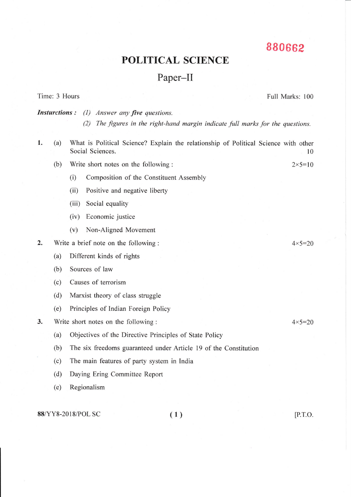## 880662

Full Marks: 100

## **POLITICAL SCIENCE**

## Paper-II

**Insturctions:** (1) Answer any five questions. (2) The figures in the right-hand margin indicate full marks for the questions. What is Political Science? Explain the relationship of Political Science with other 1.  $(a)$ Social Sciences. 10  $(b)$ Write short notes on the following:  $2 \times 5 = 10$  $(i)$ Composition of the Constituent Assembly  $(ii)$ Positive and negative liberty (iii) Social equality (iv) Economic justice Non-Aligned Movement  $(v)$  $2.$ Write a brief note on the following:  $4 \times 5 = 20$ Different kinds of rights  $(a)$ Sources of law  $(b)$ Causes of terrorism  $(c)$ Marxist theory of class struggle  $(d)$ Principles of Indian Foreign Policy  $(e)$ 3. Write short notes on the following:  $4 \times 5 = 20$  $(a)$ Objectives of the Directive Principles of State Policy  $(b)$ The six freedoms guaranteed under Article 19 of the Constitution

The main features of party system in India  $(c)$ 

 $(d)$ Daying Ering Committee Report

 $(e)$ Regionalism

88/YY8-2018/POL SC

Time: 3 Hours

 $(1)$ 

 $[$ P.T.O.